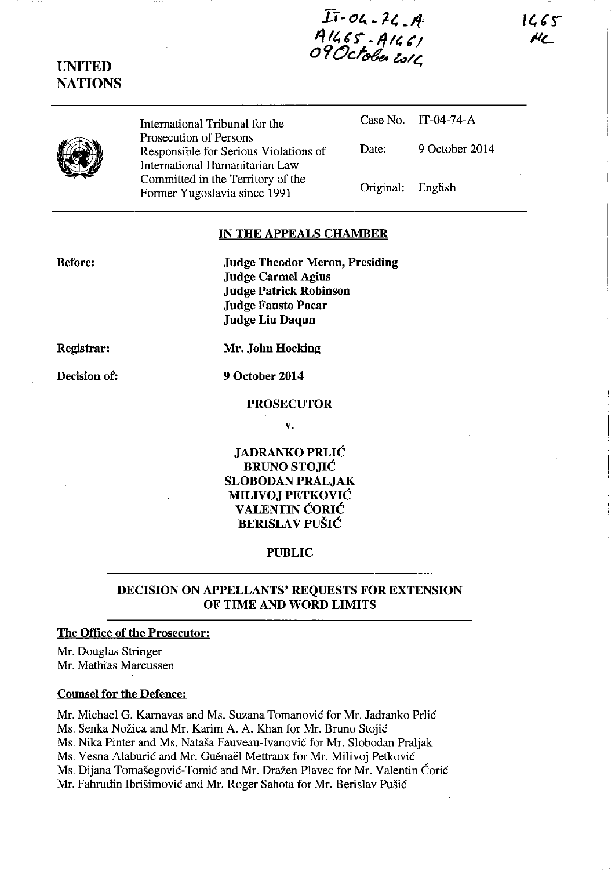1665 HL

 $I\bar{1}$ -04 - 24 - A A1465 - A1461<br>1287 - A1461<br>1200 Isla

•

UNITED **NATIONS** 

> International Tribunal for the Prosecution of Persons Responsible for Serious Violations of International Humanitarian Law Committed in the Territory of the Former Yugoslavia since 1991

Case No. IT-04-74-A Date: 9 October 2014

Original: English

# IN THE APPEALS CHAMBER

Before: Judge Theodor Meron, Presiding Judge Carmel Agius Judge Patrick Robinson Judge Fausto Pocar Judge Liu Daqun

Registrar:

Decision of:

9 October 2014

Mr. John Hocking

#### PROSECUTOR

v.

JADRANKO PRLIC BRUNO STOJIC SLOBODAN PRALJAK MILIVOJ PETKOVIC VALENTIN CORIC **BERISLAV PUŠIĆ** 

## PUBLIC

## DECISION ON APPELLANTS' REQUESTS FOR EXTENSION OF TIME AND WORD LIMITS

### The Office of the Prosecutor:

Mr. Douglas Stringer Mr. Mathias Marcussen

### Counsel for the Defence:

Mr. Michael G. Karnavas and Ms. Suzana Tomanović for Mr. Jadranko Prlić Ms. Senka Nožica and Mr. Karim A. A. Khan for Mr. Bruno Stojić Ms. Nika Pinter and Ms. Natasa Fauveau-Ivanovic for Mr. Slobodan Praljak Ms. Vesna Alaburić and Mr. Guénaël Mettraux for Mr. Milivoj Petković Ms. Dijana Tomašegović-Tomić and Mr. Dražen Plavec for Mr. Valentin Ćorić Mr. Fahrudin Ibrisimovic and Mr. Roger Sahota for Mr. Berislav Pusic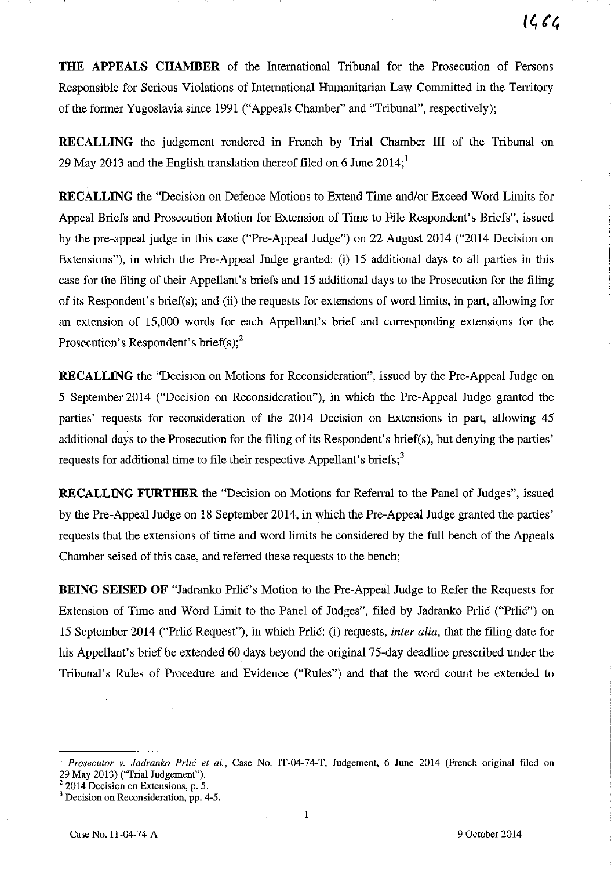**THE APPEALS CHAMBER** of the International Tribunal for the Prosecution of Persons Responsible for Serious Violations of International Humanitarian Law Committed in the Territory of the former Yugoslavia since 1991 ("Appeals Chamber" and "Tribunal", respectively);

**RECALLING** the judgement rendered in French by Trial Chamber III of the Tribunal on 29 May 2013 and the English translation thereof filed on 6 June  $2014$ ;

**RECALLING** the "Decision on Defence Motions to Extend Time and/or Exceed Word Limits for Appeal Briefs and Prosecution Motion for Extension of Time to File Respondent's Briefs", issued by the pre-appeal judge in this case ("Pre-Appeal Judge") on 22 August 2014 ("2014 Decision on Extensions"), in which the Pre-Appeal Judge granted: (i) 15 additional days to all parties in this case for the filing of their Appellant's briefs and 15 additional days to the Prosecution for the filing of its Respondent's brief(s); and (ii) the requests for extensions of word limits, in part, allowing for an extension of 15,000 words for each Appellant's brief and corresponding extensions for the Prosecution's Respondent's brief(s); $<sup>2</sup>$ </sup>

**RECALLING** the "Decision on Motions for Reconsideration", issued by the Pre-Appeal Judge on 5 September 2014 ("Decision on Reconsideration"), in which the Pre-Appeal Judge granted the parties' requests for reconsideration of the 2014 Decision on Extensions in part, allowing 45 additional days to the Prosecution for the filing of its Respondent's brief(s), but denying the parties' requests for additional time to file their respective Appellant's briefs;<sup>3</sup>

**RECALLING FURTHER** the "Decision on Motions for Referral to the Panel of Judges", issued by the Pre-Appeal Judge on 18 September 2014, in which the Pre-Appeal Judge granted the parties' requests that the extensions of time and word limits be considered by the full bench of the Appeals Chamber seised of this case, and referred these requests to the bench;

**BEING SEISED OF** "Jadranko Prlic's Motion to the Pre-Appeal Judge to Refer the Requests for Extension of Time and Word Limit to the Panel of Judges", filed by Jadranko Prlic ("Prlic") on 15 September 2014 ("Prlic Request"), in which Prlic: (i) requests, *inter alia,* that the filing date for his Appellant's brief be extended 60 days beyond the original 75-day deadline prescribed under the Tribunal's Rules of Procedure and Evidence ("Rules") and that the word count be extended to

<sup>2</sup> 2014 Decision on Extensions, p. 5.

<sup>1</sup>*Prosecutor v. ladranko Prlic et ai.,* Case No. IT-04-74-T, Judgement, 6 June 2014 (French original filed on 29 May 2013) ("Trial Judgement").

<sup>3</sup>**Decision on Reconsideration, pp. 4-5.**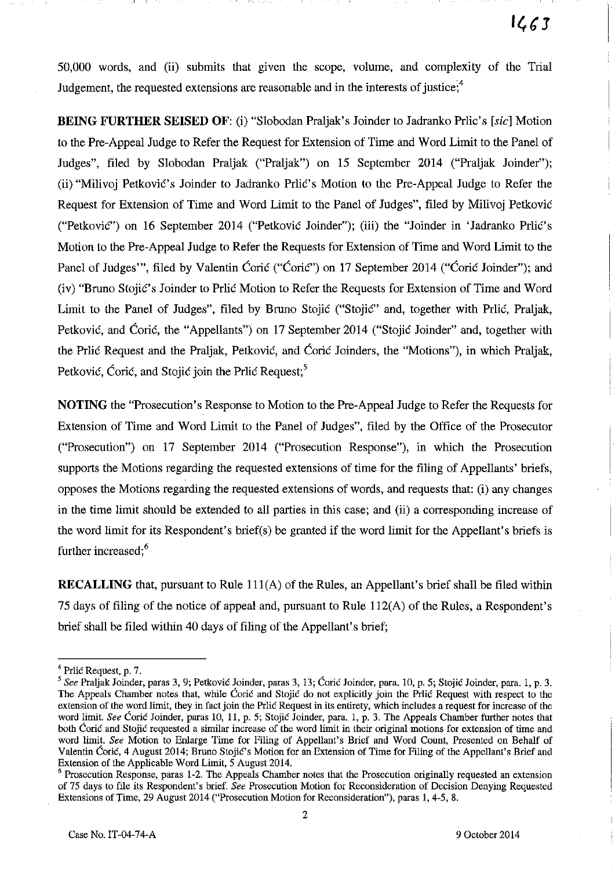50,000 words, and (ii) submits that given the scope, volume, and complexity of the Trial Judgement, the requested extensions are reasonable and in the interests of justice; $4$ 

--- ----I 1 ,--- --- ----I -I

**BEING FURTHER SEISED** OF: (i) "Slobodan Praljak's Joinder to Jadranko Prlic's [sic] Motion to the Pre-Appeal Judge to Refer the Request for Extension of Time and Word Limit to the Panel of Judges", filed by Slobodan Praljak ("Praljak") on 15 September 2014 ("Praljak Joinder"); (ii) "Milivoj PetkoviC's Joinder to Jadranko PrliC's Motion to the Pre-Appeal Judge to Refer the Request for Extension of Time and Word Limit to the Panel of Judges", filed by Milivoj Petkovie ("Petković") on 16 September 2014 ("Petković Joinder"); (iii) the "Joinder in 'Jadranko Prlić's Motion to the Pre-Appeal Judge to Refer the Requests for Extension of Time and Word Limit to the Panel of Judges"', filed by Valentin Ćorić ("Ćorić") on 17 September 2014 ("Ćorić Joinder"); and (iv) "Bruno Stojie's Joinder to Prlie Motion to Refer the Requests for Extension of Time and Word Limit to the Panel of Judges", filed by Bruno Stojić ("Stojić" and, together with Prlić, Praljak, Petković, and Ćorić, the "Appellants") on 17 September 2014 ("Stojić Joinder" and, together with the Prlic Request and the Praljak, Petkovic, and Coric Joinders, the "Motions"), in which Praljak, Petković, Corić, and Stojić join the Prlić Request;<sup>5</sup>

**NOTING** the "Prosecution's Response to Motion to the Pre-Appeal Judge to Refer the Requests for Extension of Time and Word Limit to the Panel of Judges", filed by the Office of the Prosecutor ("Prosecution") on 17 September 2014 ("Prosecution Response"), in which the Prosecution supports the Motions regarding the requested extensions of time for the filing of Appellants' briefs, opposes the Motions regarding the requested extensions of words, and requests that: (i) any changes in the time limit should be extended to all parties in this case; and (ii) a corresponding increase of the word limit for its Respondent's brief(s) be granted if the word limit for the Appellant's briefs is further increased:<sup>6</sup>

**RECALLING** that, pursuant to Rule 111(A) of the Rules, an Appellant's brief shall be filed within 75 days of filing of the notice of appeal and, pursuant to Rule 112(A) of the Rules, a Respondent's brief shall be filed within 40 days of filing of the Appellant's brief;

 $4$  Prlic Request, p. 7.

*<sup>5</sup> See* Praljak Joinder, paras 3, 9; Petkovie Joinder, paras 3, 13; Corie Joinder, para. 10, p. 5; Stojie Joinder, para. I, p. 3. The Appeals Chamber notes that, while Corie and Stojie do not explicitly join the Prlie Request with respect to the extension of the word limit, they in fact join the Prlie Request in its entirety, which includes a request for increase of the word limit. See Coric Joinder, paras 10, 11, p. 5; Stojic Joinder, para. 1, p. 3. The Appeals Chamber further notes that **both Corie and Stojie requested a similar increase of the word limit in their original motions for extension of time and**  word limit. *See* Motion to Enlarge Time for Filing of Appellant's Brief and Word Count, Presented on Behalf of Valentin Corie, 4 August 2014; Bruno Stojie's Motion for an Extension of Time for Filing of the Appellant's Brief and Extension of the Applicable Word Limit, 5 August 2014.

<sup>&</sup>lt;sup>6</sup> Prosecution Response, paras 1-2. The Appeals Chamber notes that the Prosecution originally requested an extension of 75 days to file its Respondent's brief. *See* Prosecution Motion for Reconsideration of Decision Denying Requested Extensions of Time, 29 August 2014 ("Prosecution Motion for Reconsideration"), paras 1,4-5, 8.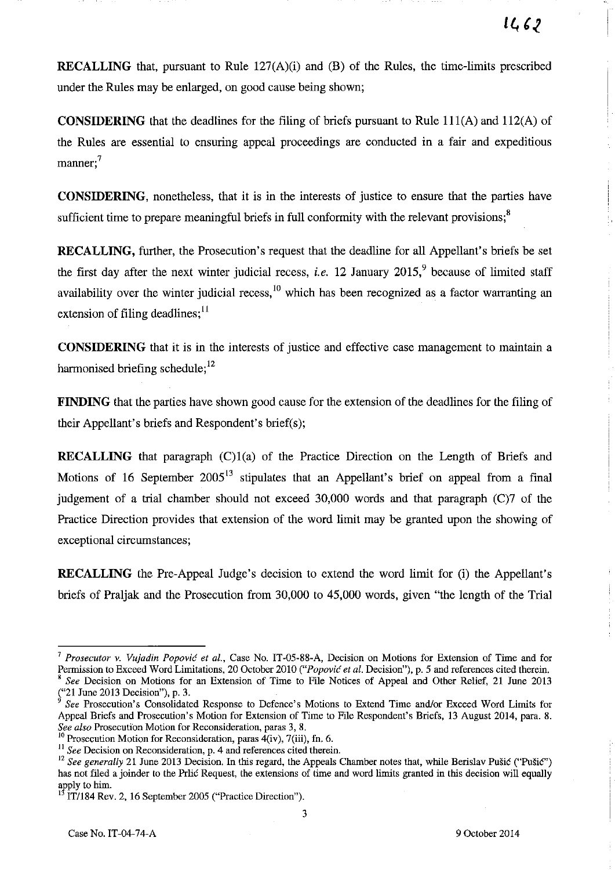**RECALLING** that, pursuant to Rule 127(A)(i) and (B) of the Rules, the time-limits prescribed under the Rules may be enlarged, on good cause being shown;

**CONSIDERING** that the deadlines for the filing of briefs pursuant to Rule 111(A) and 112(A) of the Rules are essential to ensuring appeal proceedings are conducted in a fair and expeditious manner:<sup>7</sup>

**CONSIDERING,** nonetheless, that it is in the interests of justice to ensure that the parties have sufficient time to prepare meaningful briefs in full conformity with the relevant provisions;<sup>8</sup>

**RECALLING,** further, the Prosecution's request that the deadline for all Appellant's briefs be set the first day after the next winter judicial recess, *i.e.* 12 January  $2015$ , because of limited staff availability over the winter judicial recess,  $^{10}$  which has been recognized as a factor warranting an extension of filing deadlines;  $\frac{11}{1}$ 

**CONSIDERING** that it is in the interests of justice and effective case management to maintain a harmonised briefing schedule:<sup>12</sup>

**FINDING** that the parties have shown good cause for the extension of the deadlines for the filing of their Appellant's briefs and Respondent's brief(s);

**RECALLING** that paragraph (C)1(a) of the Practice Direction on the Length of Briefs and Motions of 16 September  $2005^{13}$  stipulates that an Appellant's brief on appeal from a final judgement of a trial chamber should not exceed 30,000 words and that paragraph (C)7 of the Practice Direction provides that extension of the word limit may be granted upon the showing of exceptional circumstances;

**RECALLING** the Pre-Appeal Judge's decision to extend the word limit for (i) the Appellant's briefs of Praljak and the Prosecution from 30,000 to 45,000 words, given "the length of the Trial

<sup>7</sup>*Prosecutor* **v.** *Vujadin Popovic et a!.,* **Case No. IT -05-88-A, Decision on Motions for Extension of Time and for**  Permission to Exceed Word Limitations, 20 October 2010 *("Popović et al. Decision"*), p. 5 and references cited therein. <sup>8</sup>*See* Decision on Motions for an Extension of Time to File Notices of Appeal and Other Relief, 21 June 2013  $($ "21 June 2013 Decision"), p. 3.

*<sup>9</sup> See* Prosecution's Consolidated Response to Defence's Motions to Extend Time and/or Exceed Word Limits for Appeal Briefs and Prosecution's Motion for Extension of Time to File Respondent's Briefs, 13 August 2014, para. 8. *See also* **Prosecution Motion for Reconsideration, paras 3, g.** 

 $10$  Prosecution Motion for Reconsideration, paras  $4(iv)$ , 7(iii), fn. 6.

<sup>&</sup>lt;sup>11</sup> See Decision on Reconsideration, p. 4 and references cited therein.

<sup>&</sup>lt;sup>12</sup> See generally 21 June 2013 Decision. In this regard, the Appeals Chamber notes that, while Berislav Pušić ("Pušić") has not filed a joinder to the Prlic Request, the extensions of time and word limits granted in this decision will equally apply to him.

<sup>I</sup>IT/184 Rev. 2, 16 September 2005 ("Practice Direction").